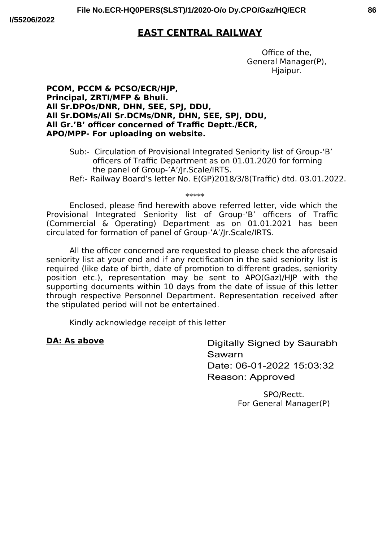# **EAST CENTRAL RAILWAY**

Office of the. General Manager(P), Hjaipur.

### PCOM, PCCM & PCSO/ECR/HJP, Principal, ZRTI/MFP & Bhuli. All Sr.DPOs/DNR, DHN, SEE, SPJ, DDU, All Sr.DOMs/All Sr.DCMs/DNR, DHN, SEE, SPJ, DDU, All Gr.'B' officer concerned of Traffic Deptt./ECR, APO/MPP- For uploading on website.

- Sub:- Circulation of Provisional Integrated Seniority list of Group-'B' officers of Traffic Department as on 01.01.2020 for forming the panel of Group-'A'/Jr.Scale/IRTS.
- Ref:- Railway Board's letter No. E(GP)2018/3/8(Traffic) dtd. 03.01.2022.

\*\*\*\*\*

Enclosed, please find herewith above referred letter, vide which the Provisional Integrated Seniority list of Group-'B' officers of Traffic (Commercial & Operating) Department as on 01.01.2021 has been circulated for formation of panel of Group-'A'/Jr.Scale/IRTS.

All the officer concerned are requested to please check the aforesaid seniority list at your end and if any rectification in the said seniority list is required (like date of birth, date of promotion to different grades, seniority position etc.), representation may be sent to APO(Gaz)/HIP with the supporting documents within 10 days from the date of issue of this letter through respective Personnel Department. Representation received after the stipulated period will not be entertained.

Kindly acknowledge receipt of this letter

### **DA: As above**

Digitally Signed by Saurabh Sawarn Date: 06-01-2022 15:03:32 Reason: Approved

> SPO/Rectt. For General Manager(P)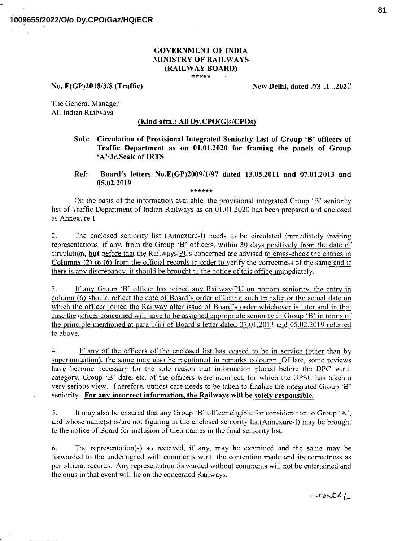#### **GOVERNMENT OF INDIA MINISTRY OF RAILWAYS** (RAILWAY BOARD) \*\*\*\*\*

No. E(GP)2018/3/8 (Traffic)

New Delhi, dated  $\varnothing$ 3.1.2022.

The General Manager All Indian Railways

#### (Kind attn.: All  $Dy.CPO(G)s/CPOs$ )

- Sub: Circulation of Provisional Integrated Seniority List of Group 'B' officers of Traffic Department as on 01.01.2020 for framing the panels of Group 'A'/Jr.Scale of IRTS
- Ref: Board's letters No.E(GP)2009/1/97 dated 13.05.2011 and 07.01.2013 and 05.02.2019

\*\*\*\*\*\*

On the basis of the information available, the provisional integrated Group 'B' seniority list of Traffic Department of Indian Railways as on 01.01.2020 has been prepared and enclosed as Annexure-I

The enclosed seniority list (Annexure-I) needs to be circulated immediately inviting  $2.$ representations, if any, from the Group 'B' officers, within 30 days positively from the date of circulation, but before that the Railways/PUs concerned are advised to cross-check the entries in Columns (2) to (6) from the official records in order to verify the correctness of the same and if there is any discrepancy, it should be brought to the notice of this office immediately.

If any Group 'B' officer has joined any Railway/PU on bottom seniority, the entry in 3. column (6) should reflect the date of Board's order effecting such transfer or the actual date on which the officer joined the Railway after issue of Board's order whichever is later and in that case the officer concerned will have to be assigned appropriate seniority in Group 'B' in terms of the principle mentioned at para 1(ii) of Board's letter dated 07.01.2013 and 05.02.2019 referred to above.

 $4.$ If any of the officers of the enclosed list has ceased to be in service (other than by superannuation), the same may also be mentioned in remarks coloumn. Of late, some reviews have become necessary for the sole reason that information placed before the DPC w.r.t. category, Group 'B' date, etc. of the officers were incorrect, for which the UPSC has taken a very serious view. Therefore, utmost care needs to be taken to finalize the integrated Group 'B' seniority. For any incorrect information, the Railways will be solely responsible.

It may also be ensured that any Group 'B' officer eligible for consideration to Group 'A', 5. and whose name(s) is/are not figuring in the enclosed seniority list(Annexure-I) may be brought to the notice of Board for inclusion of their names in the final seniority list.

6. The representation(s) so received, if any, may be examined and the same may be forwarded to the undersigned with comments w.r.t. the contention made and its correctness as per official records. Any representation forwarded without comments will not be entertained and the onus in that event will lie on the concerned Railways.

... cont d./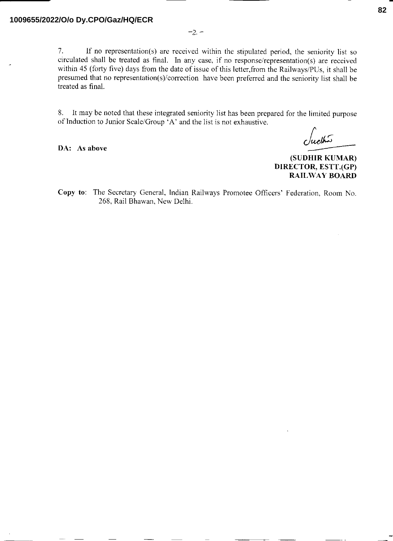$7.$ If no representation(s) are received within the stipulated period, the seniority list so circulated shall be treated as final. In any case, if no response/representation(s) are received within 45 (forty five) days from the date of issue of this letter, from the Railways/PUs, it shall be presumed that no representation(s)/correction have been preferred and the seniority list shall be treated as final.

It may be noted that these integrated seniority list has been prepared for the limited purpose 8. of Induction to Junior Scale/Group 'A' and the list is not exhaustive.

DA: As above

ببكلاه

(SUDHIR KUMAR) DIRECTOR, ESTT.(GP) **RAILWAY BOARD** 

Copy to: The Secretary General, Indian Railways Promotee Officers' Federation, Room No. 268, Rail Bhawan, New Delhi.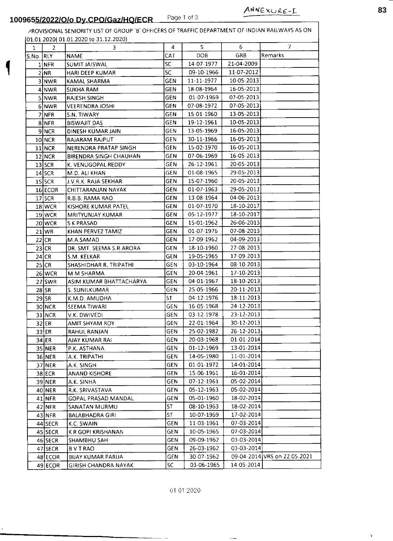ASIM KUMAR BHATTACHARYA

S. SUNILKUMAR

K.M.D. AMUDHA

AMIT SHYAM ROY

RAHUL RANJAN

P.K. ASTHANA

A.K. TRIPATHI

A.K. SINGH

A.K. SINHA

**BVTRAO** 

**AJAY KUMAR RAI** 

**ANAND KISHORE** 

R.K. SRIVASTAVA

SANATAN MURMU

**BALABHADRA GIRI** 

**GOPAL PRASAD MANDAL** 

**SEEMA TIWARI** 

V.K. DWIVEDI

 $27$ **SWR** 

 $28$ SR

 $29$ SR

30 NCR

31 NCR

 $32$ ER

 $33$  ER

 $34$  ER

35 NER

36 NER

37 NER

 $38$  ECR

39 NER

 $40$  NER

 $41$  NFR

42 NFR

 $43$ NFR

44 SECR

45 SECR

46 SECR

47 SECR

48 ECOR

49 ECOR

|              | 965 <u>5/2022/O/o Dy.CPO/Gaz/HQ/ECR_</u> |                                                                                                 |            | Page 1 of 3 |            | ANNEXURE-L |  |
|--------------|------------------------------------------|-------------------------------------------------------------------------------------------------|------------|-------------|------------|------------|--|
|              |                                          | PROVISIONAL SENIORITY LIST OF GROUP 'B' OFFICERS OF TRAFFIC DEPARTMENT OF INDIAN RAILWAYS AS ON |            |             |            |            |  |
|              |                                          | 01.01.2020(01.01.2020 to 31.12.2020)                                                            |            |             |            |            |  |
| $\mathbf{1}$ | $\overline{2}$                           | 3                                                                                               | 4          | 5           | 6          | 7          |  |
| S.No. RLY    |                                          | <b>NAME</b>                                                                                     | CAT        | <b>DOB</b>  | GRB        | Remarks    |  |
|              | 1 <sup>NFR</sup>                         | <b>SUMIT JAISWAL</b>                                                                            | <b>SC</b>  | 14-07-1977  | 21-04-2009 |            |  |
|              | 2 NR                                     | <b>HARI DEEP KUMAR</b>                                                                          | <b>SC</b>  | 09-10-1966  | 11-07-2012 |            |  |
|              | 3 NWR                                    | <b>KAMAL SHARMA</b>                                                                             | GEN        | 11-11-1977  | 10-05-2013 |            |  |
|              | 4 NWR                                    | <b>SUKHA RAM</b>                                                                                | <b>GEN</b> | 18-08-1964  | 16-05-2013 |            |  |
|              | 5 NWR                                    | <b>RAJESH SINGH</b>                                                                             | <b>GEN</b> | 01-07-1969  | 07-05-2013 |            |  |
|              | 6 NWR                                    | <b>VEERENDRA JOSHI</b>                                                                          | GEN        | 07-08-1972  | 07-05-2013 |            |  |
|              | 7 NFR                                    | S.N. TIWARY                                                                                     | <b>GEN</b> | 15-01-1960  | 13-05-2013 |            |  |
|              | 8NFR                                     | <b>BISWAJIT DAS</b>                                                                             | <b>GEN</b> | 19-12-1961  | 10-05-2013 |            |  |
|              | 9 NCR                                    | DINESH KUMAR JAIN                                                                               | <b>GEN</b> | 13-05-1969  | 16-05-2013 |            |  |
|              | 10 NCR                                   | <b>RAJARAM RAJPUT</b>                                                                           | <b>GEN</b> | 30-11-1966  | 16-05-2013 |            |  |
|              | $11$ NCR                                 | NERENDRA PRATAP SINGH                                                                           | GEN        | 15-02-1970  | 16-05-2013 |            |  |
|              | 12 NCR                                   | <b>BIRENDRA SINGH CHAUHAN</b>                                                                   | <b>GEN</b> | 07-06-1969  | 16-05-2013 |            |  |
|              | 13 SCR                                   | K. VENUGOPAL REDDY                                                                              | <b>GEN</b> | 26-12-1961  | 20-05-2013 |            |  |
|              | $14$ SCR                                 | M.D. ALI KHAN                                                                                   | <b>GEN</b> | 01-08-1965  | 29-05-2013 |            |  |
|              | 15 SCR                                   | <b>J.V.R.K. RAJA SEKHAR</b>                                                                     | <b>GEN</b> | 15-07-1960  | 20-05-2013 |            |  |
|              | 16 ECOR                                  | CHITTARANJAN NAYAK                                                                              | GEN        | 01-07-1963  | 29-05-2013 |            |  |
|              | 17 SCR                                   | R.B.B. RAMA RAO                                                                                 | <b>GEN</b> | 13-08-1964  | 04-06-2013 |            |  |
|              | $18$ WCR                                 | KISHORE KUMAR PATEL                                                                             | <b>GEN</b> | 01-07-1970  | 18-10-2017 |            |  |
|              | $19$ WCR                                 | <b>MRITYUNJAY KUMAR</b>                                                                         | <b>GEN</b> | 05-12-1977  | 18-10-2017 |            |  |
|              | 20 WCR                                   | <b>SK PRASAD</b>                                                                                | <b>GEN</b> | 15-01-1962  | 26-06-2013 |            |  |
|              | 21 WR                                    | KHAN PERVEZ TAMIZ                                                                               | <b>GEN</b> | 01-07-1976  | 07-08-2013 |            |  |
|              | $22$ CR                                  | M.A.SAMAD                                                                                       | <b>GEN</b> | 17-09-1962  | 04-09-2013 |            |  |
|              | $23$ CR                                  | DR. SMT. SEEMA S.R.ARORA                                                                        | <b>GEN</b> | 18-10-1960  | 27-08-2013 |            |  |
|              | $24$ CR                                  | S.M. KELKAR                                                                                     | <b>GEN</b> | 19-05-1965  | 17-09-2013 |            |  |
|              | $25$ CR                                  | SHASHIDHAR R. TRIPATHI                                                                          | <b>GEN</b> | 03-10-1964  | 08-10-2013 |            |  |
|              | 26 WCR                                   | M M SHARMA                                                                                      | <b>GEN</b> | 20-04-1961  | 17-10-2013 |            |  |

**GEN** 

GEN

GEN

**GEN** 

GEN

GEN

**GEN** 

GEN

GEN

GEN

GEN

GEN

**GEN** 

GEN

ST

ST

 $ST$ 

04-01-1967

25-05-1966

04-12-1976

16-05-1968

03-12-1978

22-01-1964

25-02-1982

20-03-1968

01-12-1969

14-05-1980

01-01-1972

15-06-1961

07-12-1961

05-12-1963

05-01-1960

08-10-1963

10-07-1969

07-03-2014 K.C. SWAIN **GEN** 11-03-1961 10-05-1965 07-03-2014 K R GOPI KRISHANAN **GEN** 09-09-1962 03-03-2014 SHAMBHU SAH **GEN** 03-03-2014 26-03-1962 GEN 30-07-1962 09-04-2014 VRS on 22.05.2021 **BIJAY KUMAR PARIJA** GEN 14-05-2014 03-06-1965 **GIRISH CHANDRA NAYAK** SC.

01/01/2020

18-10-2013

20-11-2013

18-11-2013

24-12-2013

23-12-2013

30-12-2013

26-12-2013

01-01-2014

13-01-2014

11-01-2014

14-01-2014

 $16 - 01 - 2014$ 

05-02-2014

05-02-2014 18-02-2014

18-02-2014

17-02-2014

þ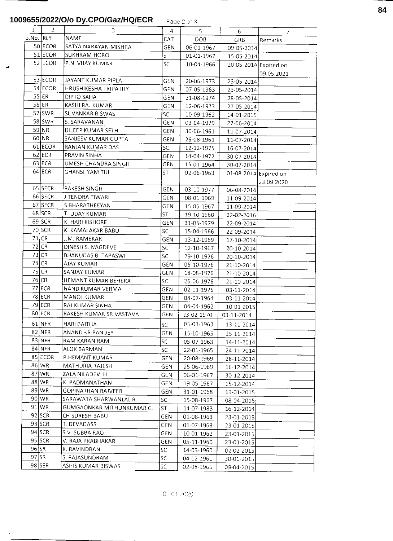## **1009655/2022/O/o Dy.CPO/Gaz/HQ/ECR**

|         |                |                           |            | ਜ ਪਤੁਸ ਦਾ ਸਾਂਝ |                       |            |
|---------|----------------|---------------------------|------------|----------------|-----------------------|------------|
| $\perp$ | $\overline{2}$ | 3                         | 4          | 5              | 6                     | 7          |
|         | - No. RLY د    | NAME                      | CAT        | DOB            | GRB                   | Remarks    |
|         | 50 ECOR        | SATYA NARAYAN MISHRA      | <b>GEN</b> | 06-01-1967     | 09-05-2014            |            |
|         | 51 ECOR        | SUKHRAM HORO              | <b>ST</b>  | 01-01-1967     | 15-05-2014            |            |
|         | $52$ ECOR      | P.N. VIJAY KUMAR          | SC.        | 10-04-1966     | 20-05-2014 Expired on |            |
|         |                |                           |            |                |                       | 09.05.2021 |
|         | 53 ECOR        | JAYANT KUMAR PIPLAI       | <b>GEN</b> | 20-06-1973     | 23-05-2014            |            |
|         | 54 ECOR        | HRUSHIKESHA TRIPATHY      | <b>GEN</b> | 07-05-1963     | 23-05-2014            |            |
|         | $55$ ER        | DIPTO SAHA                | GEN        | 31-08-1974     | 28-05-2014            |            |
|         | 56 ER          | KASHI RAJ KUMAR           | GEN        | 12-06-1973     | 27-05-2014            |            |
|         | 57 SWR         | SUVANKAR BISWAS           | SC.        | 10-09-1962     | 14-01-2015            |            |
|         | 58 SWR         | S. SARAVANAN              | <b>GEN</b> | 03-04-1979     | 27-06-2014            |            |
|         | 59 NR          | DILEEP KUMAR SETH         | GEN        | 30-06-1961     | 11-07-2014            |            |
|         | 60 NR          | SANJEEV KUMAR GUPTA       | <b>GEN</b> | 26-08-1961     | 11-07-2014            |            |
|         | 61 ECOR        | RANJAN KUMAR DAS          | SC         | 12-12-1975     | 16-07-2014            |            |
|         | $62$ ECR       | PRAVIN SINHA              | GEN        | 14-04-1972     | 30-07-2014            |            |
|         | $63$ ECR       | UMESH CHANDRA SINGH       | GEN        | 15-01-1964     | 30-07-2014            |            |
|         | $64$ ECR       | <b>GHANSHYAM TIU</b>      | <b>ST</b>  | 02-06-1963     | 01-08-2014 Expired on |            |
|         |                |                           |            |                |                       | 23.09.2020 |
|         | 65 SECR        | RAKESH SINGH              | <b>GEN</b> | 03-10-1977     | 06-08-2014            |            |
|         | 66 SECR        | JITENDRA TIWARI           | GEN        | 08-01-1969     | 11-09-2014            |            |
|         | 67 SECR        | S BHARATHEEYAN            | GEN        | 15-06-1967     | 11-09-2014            |            |
|         | 68 SCR         | T. UDAY KUMAR             | <b>ST</b>  | 19-10-1960     | 22-02-2016            |            |
|         | $69$ SCR       | K. HARI KISHORE           | GEN        | 31-05-1979     | 22-09-2014            |            |
|         | 70 SCR         | K. KAMALAKAR BABU         | SC         | 15-04-1966     | 22-09-2014            |            |
|         | $71$ CR        | J.M. RAMEKAR              | <b>GEN</b> | 13-12-1969     | 17-10-2014            |            |
|         | 72 CR          | DINESH S. NAGDEVE         | SC         | 12-10-1967     | 20-10-2014            |            |
|         | $73$ CR        | BHANUDAS B. TAPASWI       | SC         | 29-10-1976     | 20-10-2014            |            |
|         | $74$ CR        | AJAY KUMAR                | GEN        | 05-10-1976     | 21-10-2014            |            |
|         | $75$ CR        | SANJAY KUMAR              | <b>GEN</b> | 18-08-1976     | 21-10-2014            |            |
|         | $76$ CR        | HEMANT KUMAR BEHERA       | SC         | 26-06-1976     | 21-10-2014            |            |
|         | 77 ECR         | NAND KUMAR VERMA          | GEN        | 02-01-1975     | 03-11-2014            |            |
|         | 78 ECR         | MANOJ KUMAR               | GEN        | 08-07-1964     | 03-11-2014            |            |
|         | 79 ECR         | RAJ KUMAR SINHA           | GEN        | 04-04-1962     | 10-01-2015            |            |
|         | $80$ ECR       | RAKESH KUMAR SRIVASTAVA   | GEN        | 23-02-1970     | 03-11-2014            |            |
|         | $81$ NFR       | <b>HARI BAITHA</b>        | <b>SC</b>  | 05.03-1963     | 13-11-2014            |            |
|         | $82$ NFR       | ANAND KR PANDEY           | <b>GEN</b> | 15-10-1965     | 25-11-2014            |            |
|         | 83 NFR         | RAM KARAN RAM             | <b>SC</b>  | 05-07-1963     | 14-11-2014            |            |
|         | 84 NFR         | ALOK BARMAN               | <b>SC</b>  | 22-01-1965     | 24-11-2014            |            |
|         | 85 ECOR        | P.HEMANT KUMAR            | GEN        | 20-08-1969     | 28-11-2014            |            |
|         | 86 WR          | MATHURIA RAJESH           | GEN        | 25-06-1969     | 16-12-2014            |            |
|         | 87 WR          | ZALA NILADEVI H.          | <b>GEN</b> | 06-01-1967     | 30-12-2014            |            |
|         | 88 WR          | K. PADMANATHAN            | GEN        | 19-05-1967     | 15-12-2014            |            |
|         | 89 WR          | <b>GOPINATHAN RAJVEER</b> | GEN        | 31-01-1968     | 19-01-2015            |            |
|         | 90 WR          | SARAWATA SHARWANLAL R.    | <b>SC</b>  | 15-08-1967     | 08-04-2015            |            |
|         | 91 WR          | GUMGAONKAR MITHUNKUMAR C. | ST.        | 14-07-1983     | 16-12-2014            |            |
|         | 92 SCR         | CH SURESH BABU            | <b>GEN</b> | 01 08 1963     | 23-01-2015            |            |
|         | $93$ SCR       | T. DEVADASS               | GEN        | 01-07-1963     | 23-01-2015            |            |
|         | $94$ SCR       | S.V. SUBBA RAO            | <b>GEN</b> | 10-01-1962     | 23-01-2015            |            |
|         | 95 SCR         | V. RAJA PRABHAKAR         | <b>GEN</b> | 05-11-1960     | 23-01-2015            |            |
| 96 SR   |                | K. RAVINDRAN              | SC         | 14-03-1960     | 02-02-2015            |            |
| $97$ SR |                | S. RAJASUNDRAM            | SC         | 04-12-1961     | 30-01-2015            |            |
|         | $98$ SER       | ASHIS KUMAR BISWAS        | SC         | 02-08-1966     | 09-04-2015            |            |
|         |                |                           |            |                |                       |            |

**84**